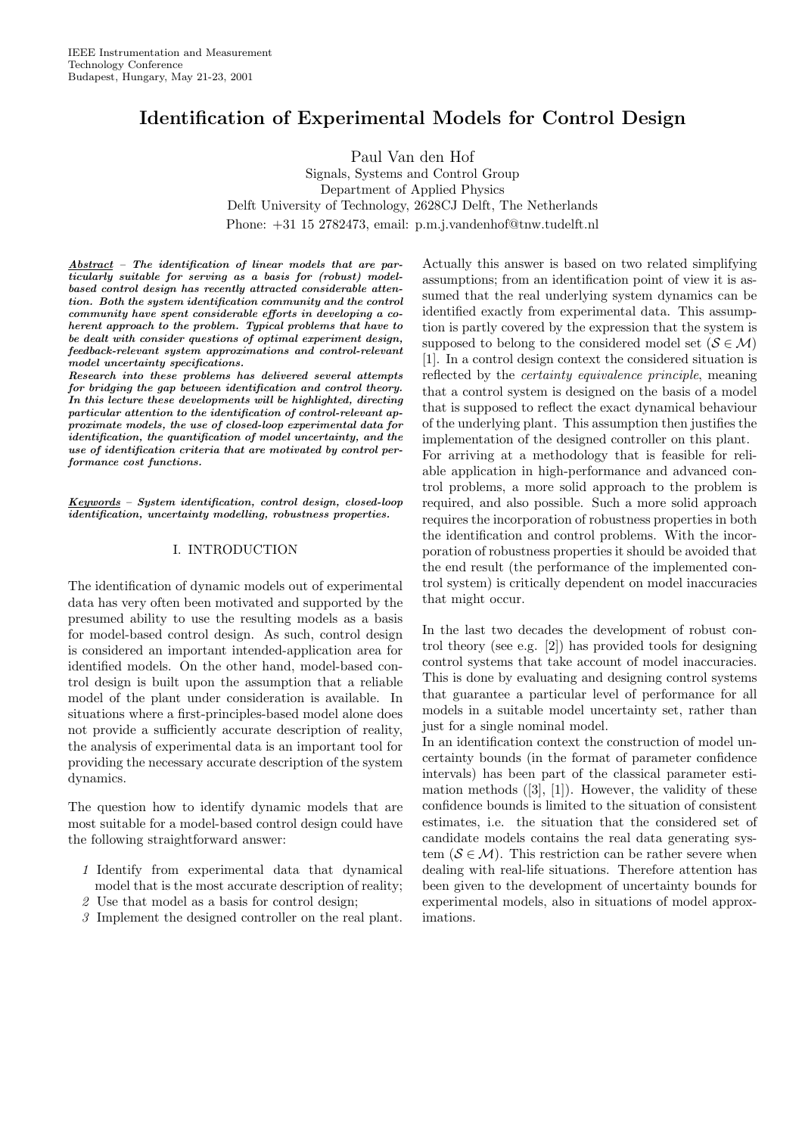# **Identification of Experimental Models for Control Design**

Paul Van den Hof Signals, Systems and Control Group Department of Applied Physics Delft University of Technology, 2628CJ Delft, The Netherlands Phone: +31 15 2782473, email: p.m.j.vandenhof@tnw.tudelft.nl

*Abstract – The identification of linear models that are particularly suitable for serving as a basis for (robust) modelbased control design has recently attracted considerable attention. Both the system identification community and the control community have spent considerable efforts in developing a coherent approach to the problem. Typical problems that have to be dealt with consider questions of optimal experiment design, feedback-relevant system approximations and control-relevant model uncertainty specifications.*

*Research into these problems has delivered several attempts for bridging the gap between identification and control theory. In this lecture these developments will be highlighted, directing particular attention to the identification of control-relevant approximate models, the use of closed-loop experimental data for identification, the quantification of model uncertainty, and the use of identification criteria that are motivated by control performance cost functions.*

*Keywords – System identification, control design, closed-loop identification, uncertainty modelling, robustness properties.*

### I. INTRODUCTION

The identification of dynamic models out of experimental data has very often been motivated and supported by the presumed ability to use the resulting models as a basis for model-based control design. As such, control design is considered an important intended-application area for identified models. On the other hand, model-based control design is built upon the assumption that a reliable model of the plant under consideration is available. In situations where a first-principles-based model alone does not provide a sufficiently accurate description of reality, the analysis of experimental data is an important tool for providing the necessary accurate description of the system dynamics.

The question how to identify dynamic models that are most suitable for a model-based control design could have the following straightforward answer:

- *1* Identify from experimental data that dynamical model that is the most accurate description of reality;
- *2* Use that model as a basis for control design;
- *3* Implement the designed controller on the real plant.

Actually this answer is based on two related simplifying assumptions; from an identification point of view it is assumed that the real underlying system dynamics can be identified exactly from experimental data. This assumption is partly covered by the expression that the system is supposed to belong to the considered model set  $(S \in \mathcal{M})$ [1]. In a control design context the considered situation is reflected by the *certainty equivalence principle*, meaning that a control system is designed on the basis of a model that is supposed to reflect the exact dynamical behaviour of the underlying plant. This assumption then justifies the implementation of the designed controller on this plant. For arriving at a methodology that is feasible for reliable application in high-performance and advanced control problems, a more solid approach to the problem is required, and also possible. Such a more solid approach requires the incorporation of robustness properties in both the identification and control problems. With the incorporation of robustness properties it should be avoided that the end result (the performance of the implemented control system) is critically dependent on model inaccuracies that might occur.

In the last two decades the development of robust control theory (see e.g. [2]) has provided tools for designing control systems that take account of model inaccuracies. This is done by evaluating and designing control systems that guarantee a particular level of performance for all models in a suitable model uncertainty set, rather than just for a single nominal model.

In an identification context the construction of model uncertainty bounds (in the format of parameter confidence intervals) has been part of the classical parameter estimation methods  $([3], [1])$ . However, the validity of these confidence bounds is limited to the situation of consistent estimates, i.e. the situation that the considered set of candidate models contains the real data generating system ( $S \in \mathcal{M}$ ). This restriction can be rather severe when dealing with real-life situations. Therefore attention has been given to the development of uncertainty bounds for experimental models, also in situations of model approximations.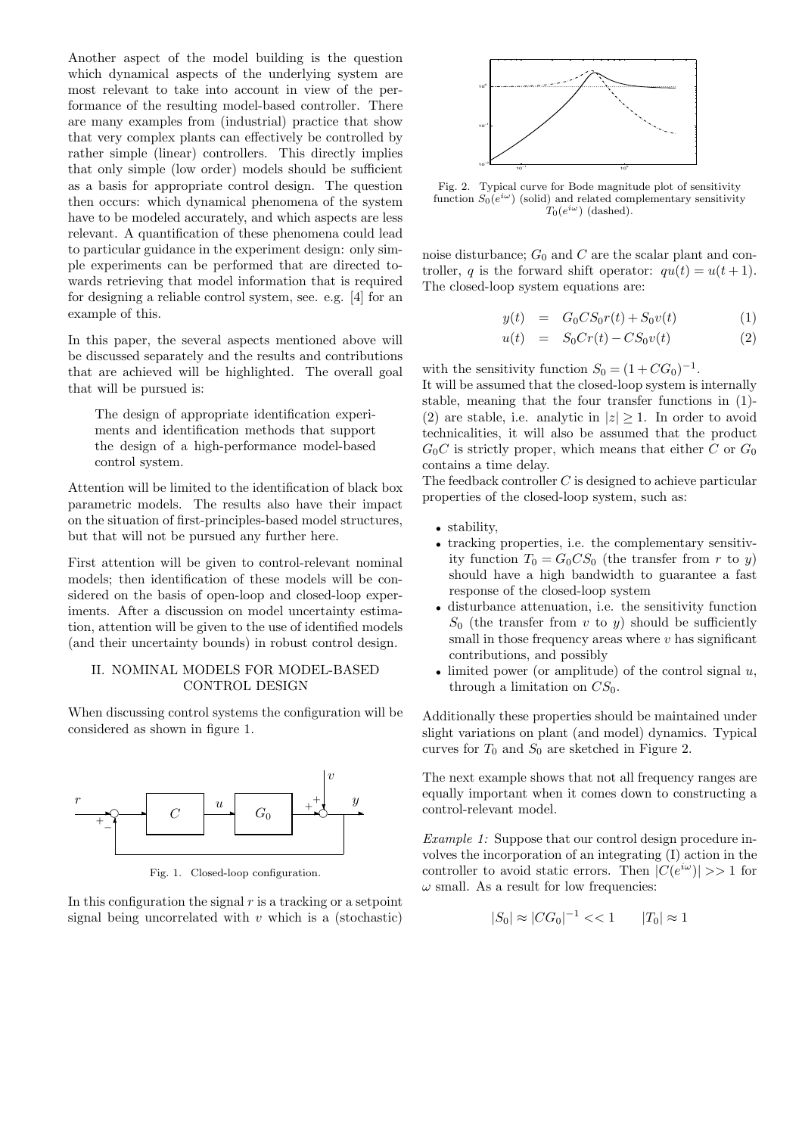Another aspect of the model building is the question which dynamical aspects of the underlying system are most relevant to take into account in view of the performance of the resulting model-based controller. There are many examples from (industrial) practice that show that very complex plants can effectively be controlled by rather simple (linear) controllers. This directly implies that only simple (low order) models should be sufficient as a basis for appropriate control design. The question then occurs: which dynamical phenomena of the system have to be modeled accurately, and which aspects are less relevant. A quantification of these phenomena could lead to particular guidance in the experiment design: only simple experiments can be performed that are directed towards retrieving that model information that is required for designing a reliable control system, see. e.g. [4] for an example of this.

In this paper, the several aspects mentioned above will be discussed separately and the results and contributions that are achieved will be highlighted. The overall goal that will be pursued is:

The design of appropriate identification experiments and identification methods that support the design of a high-performance model-based control system.

Attention will be limited to the identification of black box parametric models. The results also have their impact on the situation of first-principles-based model structures, but that will not be pursued any further here.

First attention will be given to control-relevant nominal models; then identification of these models will be considered on the basis of open-loop and closed-loop experiments. After a discussion on model uncertainty estimation, attention will be given to the use of identified models (and their uncertainty bounds) in robust control design.

# II. NOMINAL MODELS FOR MODEL-BASED CONTROL DESIGN

When discussing control systems the configuration will be considered as shown in figure 1.



Fig. 1. Closed-loop configuration.

In this configuration the signal  $r$  is a tracking or a setpoint signal being uncorrelated with  $v$  which is a (stochastic)



Fig. 2. Typical curve for Bode magnitude plot of sensitivity function  $S_0(e^{i\omega})$  (solid) and related complementary sensitivity  $T_0(e^{i\omega})$  (dashed).

noise disturbance;  $G_0$  and C are the scalar plant and controller, q is the forward shift operator:  $qu(t) = u(t+1)$ . The closed-loop system equations are:

$$
y(t) = G_0 C S_0 r(t) + S_0 v(t)
$$
 (1)

$$
u(t) = S_0Cr(t) - CS_0v(t)
$$
 (2)

with the sensitivity function  $S_0 = (1 + CG_0)^{-1}$ .

It will be assumed that the closed-loop system is internally stable, meaning that the four transfer functions in (1)- (2) are stable, i.e. analytic in  $|z| \geq 1$ . In order to avoid technicalities, it will also be assumed that the product  $G_0C$  is strictly proper, which means that either C or  $G_0$ contains a time delay.

The feedback controller  $C$  is designed to achieve particular properties of the closed-loop system, such as:

- stability,
- tracking properties, i.e. the complementary sensitivity function  $T_0 = G_0 C S_0$  (the transfer from r to y) should have a high bandwidth to guarantee a fast response of the closed-loop system
- disturbance attenuation, i.e. the sensitivity function  $S_0$  (the transfer from v to y) should be sufficiently small in those frequency areas where  $v$  has significant contributions, and possibly
- limited power (or amplitude) of the control signal  $u$ , through a limitation on  $CS_0$ .

Additionally these properties should be maintained under slight variations on plant (and model) dynamics. Typical curves for  $T_0$  and  $S_0$  are sketched in Figure 2.

The next example shows that not all frequency ranges are equally important when it comes down to constructing a control-relevant model.

*Example 1:* Suppose that our control design procedure involves the incorporation of an integrating (I) action in the controller to avoid static errors. Then  $|C(e^{i\omega})| >> 1$  for  $\omega$  small. As a result for low frequencies:

$$
|S_0| \approx |CG_0|^{-1} \lt \lt 1 \qquad |T_0| \approx 1
$$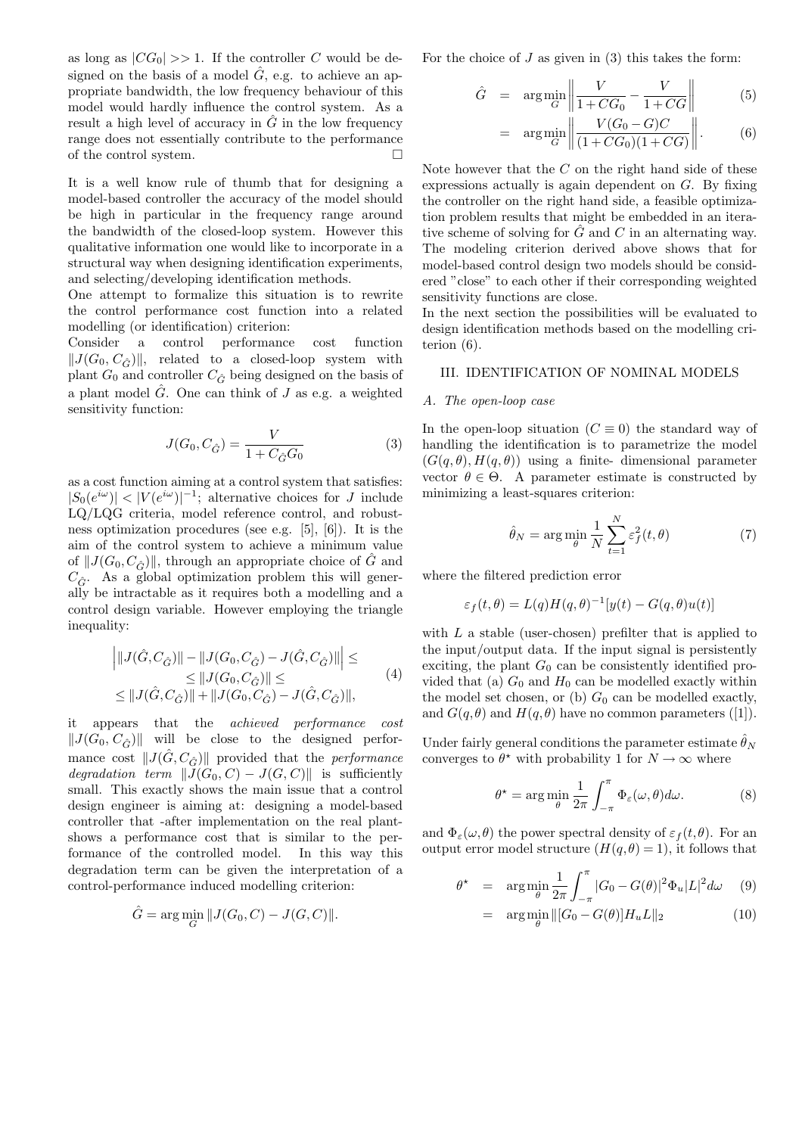as long as  $|CG_0| \gg 1$ . If the controller C would be designed on the basis of a model  $\hat{G}$ , e.g. to achieve an appropriate bandwidth, the low frequency behaviour of this model would hardly influence the control system. As a result a high level of accuracy in  $\hat{G}$  in the low frequency range does not essentially contribute to the performance of the control system.  $\Box$ 

It is a well know rule of thumb that for designing a model-based controller the accuracy of the model should be high in particular in the frequency range around the bandwidth of the closed-loop system. However this qualitative information one would like to incorporate in a structural way when designing identification experiments, and selecting/developing identification methods.

One attempt to formalize this situation is to rewrite the control performance cost function into a related modelling (or identification) criterion:

Consider a control performance cost function  $||J(G_0, C_{\hat{G}})||$ , related to a closed-loop system with plant  $G_0$  and controller  $C_{\hat{G}}$  being designed on the basis of a plant model  $\hat{G}$ . One can think of J as e.g. a weighted sensitivity function:

$$
J(G_0, C_{\hat{G}}) = \frac{V}{1 + C_{\hat{G}}G_0} \tag{3}
$$

as a cost function aiming at a control system that satisfies:  $|S_0(e^{i\omega})|$  <  $|V(e^{i\omega})|^{-1}$ ; alternative choices for J include LQ/LQG criteria, model reference control, and robustness optimization procedures (see e.g. [5], [6]). It is the aim of the control system to achieve a minimum value of  $||J(G_0, C_{\hat{G}})||$ , through an appropriate choice of  $\hat{G}$  and  $C_{\hat{G}}$ . As a global optimization problem this will generally be intractable as it requires both a modelling and a control design variable. However employing the triangle inequality:

$$
\left| \|J(\hat{G}, C_{\hat{G}})\| - \|J(G_0, C_{\hat{G}}) - J(\hat{G}, C_{\hat{G}})\| \right| \le
$$
  
\n
$$
\leq \|J(G_0, C_{\hat{G}})\| \leq
$$
  
\n
$$
\leq \|J(\hat{G}, C_{\hat{G}})\| + \|J(G_0, C_{\hat{G}}) - J(\hat{G}, C_{\hat{G}})\|,
$$
\n(4)

it appears that the *achieved performance cost*  $||J(G_0, C_{\hat{G}})||$  will be close to the designed performance cost  $||J(\hat{G}, C_{\hat{G}})||$  provided that the *performance degradation term*  $\|\tilde{J}(G_0, C) - J(G, C)\|$  is sufficiently small. This exactly shows the main issue that a control design engineer is aiming at: designing a model-based controller that -after implementation on the real plantshows a performance cost that is similar to the performance of the controlled model. In this way this degradation term can be given the interpretation of a control-performance induced modelling criterion:

$$
\hat{G} = \arg\min_G \|J(G_0, C) - J(G, C)\|.
$$

For the choice of  $J$  as given in  $(3)$  this takes the form:

$$
\hat{G} = \arg\min_{G} \left\| \frac{V}{1 + CG_0} - \frac{V}{1 + CG} \right\| \tag{5}
$$

$$
= \arg\min_{G} \left\| \frac{V(G_0 - G)C}{(1 + CG_0)(1 + CG)} \right\|.
$$
 (6)

Note however that the  $C$  on the right hand side of these expressions actually is again dependent on  $G$ . By fixing the controller on the right hand side, a feasible optimization problem results that might be embedded in an iterative scheme of solving for  $\hat{G}$  and  $C$  in an alternating way. The modeling criterion derived above shows that for model-based control design two models should be considered "close" to each other if their corresponding weighted sensitivity functions are close.

In the next section the possibilities will be evaluated to design identification methods based on the modelling criterion (6).

### III. IDENTIFICATION OF NOMINAL MODELS

### *A. The open-loop case*

In the open-loop situation  $(C \equiv 0)$  the standard way of handling the identification is to parametrize the model  $(G(q, \theta), H(q, \theta))$  using a finite-dimensional parameter vector  $\theta \in \Theta$ . A parameter estimate is constructed by minimizing a least-squares criterion:

$$
\hat{\theta}_N = \arg\min_{\theta} \frac{1}{N} \sum_{t=1}^N \varepsilon_f^2(t, \theta) \tag{7}
$$

where the filtered prediction error

$$
\varepsilon_f(t,\theta) = L(q)H(q,\theta)^{-1}[y(t) - G(q,\theta)u(t)]
$$

with  $L$  a stable (user-chosen) prefilter that is applied to the input/output data. If the input signal is persistently exciting, the plant  $G_0$  can be consistently identified provided that (a)  $G_0$  and  $H_0$  can be modelled exactly within the model set chosen, or (b)  $G_0$  can be modelled exactly, and  $G(q, \theta)$  and  $H(q, \theta)$  have no common parameters ([1]).

Under fairly general conditions the parameter estimate  $\hat{\theta}_N$ converges to  $\theta^*$  with probability 1 for  $N \to \infty$  where

$$
\theta^* = \arg\min_{\theta} \frac{1}{2\pi} \int_{-\pi}^{\pi} \Phi_{\varepsilon}(\omega,\theta) d\omega.
$$
 (8)

and  $\Phi_{\varepsilon}(\omega,\theta)$  the power spectral density of  $\varepsilon_f(t,\theta)$ . For an output error model structure  $(H(q, \theta) = 1)$ , it follows that

$$
\theta^* = \arg\min_{\theta} \frac{1}{2\pi} \int_{-\pi}^{\pi} |G_0 - G(\theta)|^2 \Phi_u |L|^2 d\omega \quad (9)
$$

$$
= \arg\min_{\theta} \left\| [G_0 - G(\theta)] H_u L \right\|_2 \tag{10}
$$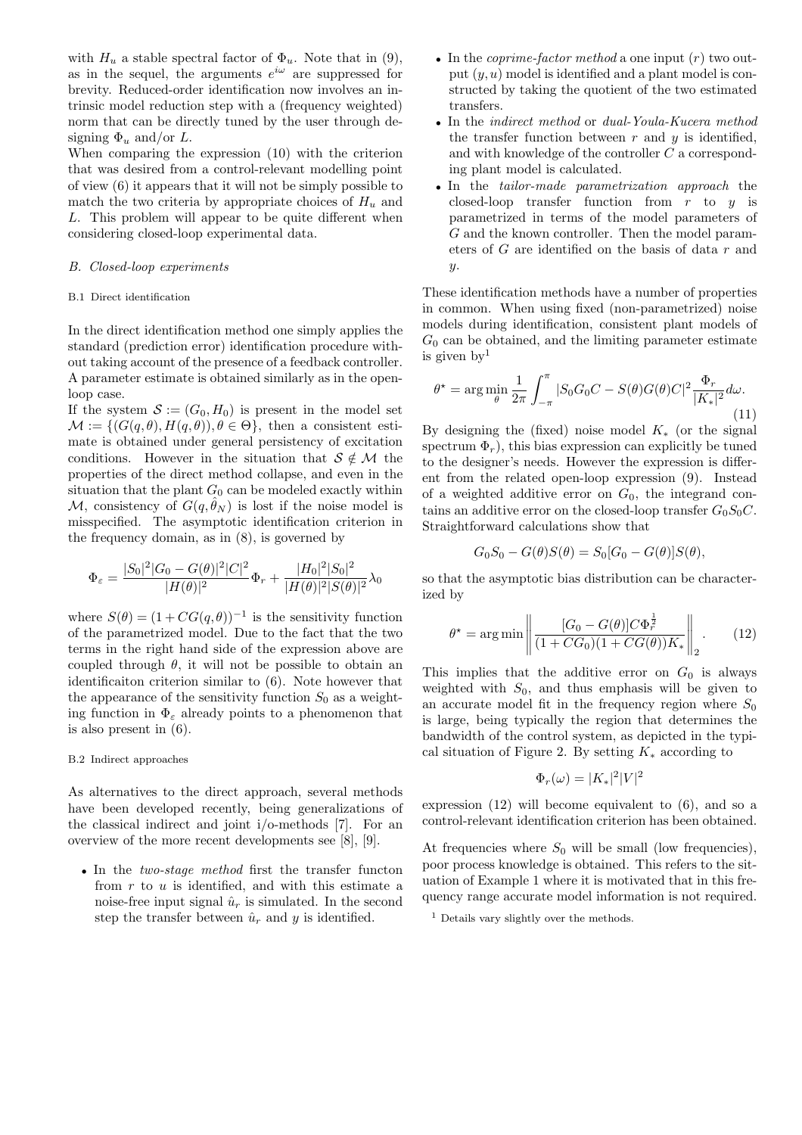with  $H_u$  a stable spectral factor of  $\Phi_u$ . Note that in (9), as in the sequel, the arguments  $e^{i\omega}$  are suppressed for brevity. Reduced-order identification now involves an intrinsic model reduction step with a (frequency weighted) norm that can be directly tuned by the user through designing  $\Phi_u$  and/or L.

When comparing the expression (10) with the criterion that was desired from a control-relevant modelling point of view (6) it appears that it will not be simply possible to match the two criteria by appropriate choices of  $H_u$  and L. This problem will appear to be quite different when considering closed-loop experimental data.

### *B. Closed-loop experiments*

#### B.1 Direct identification

In the direct identification method one simply applies the standard (prediction error) identification procedure without taking account of the presence of a feedback controller. A parameter estimate is obtained similarly as in the openloop case.

If the system  $S := (G_0, H_0)$  is present in the model set  $\mathcal{M} := \{ (G(q, \theta), H(q, \theta)), \theta \in \Theta \},$  then a consistent estimate is obtained under general persistency of excitation conditions. However in the situation that  $S \notin \mathcal{M}$  the properties of the direct method collapse, and even in the situation that the plant  $G_0$  can be modeled exactly within M, consistency of  $G(q, \hat{\theta}_N)$  is lost if the noise model is misspecified. The asymptotic identification criterion in the frequency domain, as in (8), is governed by

$$
\Phi_{\varepsilon} = \frac{|S_0|^2 |G_0 - G(\theta)|^2 |C|^2}{|H(\theta)|^2} \Phi_r + \frac{|H_0|^2 |S_0|^2}{|H(\theta)|^2 |S(\theta)|^2} \lambda_0
$$

where  $S(\theta) = (1 + CG(q, \theta))^{-1}$  is the sensitivity function of the parametrized model. Due to the fact that the two terms in the right hand side of the expression above are coupled through  $\theta$ , it will not be possible to obtain an identificaiton criterion similar to (6). Note however that the appearance of the sensitivity function  $S_0$  as a weighting function in  $\Phi_{\varepsilon}$  already points to a phenomenon that is also present in (6).

#### B.2 Indirect approaches

As alternatives to the direct approach, several methods have been developed recently, being generalizations of the classical indirect and joint i/o-methods [7]. For an overview of the more recent developments see [8], [9].

• In the *two-stage method* first the transfer functon from  $r$  to  $u$  is identified, and with this estimate a noise-free input signal  $\hat{u}_r$  is simulated. In the second step the transfer between  $\hat{u}_r$  and y is identified.

- In the *coprime-factor method* a one input (r) two output  $(y, u)$  model is identified and a plant model is constructed by taking the quotient of the two estimated transfers.
- In the *indirect method* or *dual-Youla-Kucera method* the transfer function between  $r$  and  $y$  is identified, and with knowledge of the controller C a corresponding plant model is calculated.
- In the *tailor-made parametrization approach* the closed-loop transfer function from  $r$  to  $y$  is parametrized in terms of the model parameters of G and the known controller. Then the model parameters of G are identified on the basis of data r and y.

These identification methods have a number of properties in common. When using fixed (non-parametrized) noise models during identification, consistent plant models of  $G_0$  can be obtained, and the limiting parameter estimate is given  $bv<sup>1</sup>$ 

$$
\theta^* = \arg\min_{\theta} \frac{1}{2\pi} \int_{-\pi}^{\pi} |S_0 G_0 C - S(\theta) G(\theta) C|^2 \frac{\Phi_r}{|K_*|^2} d\omega.
$$
\n(11)

By designing the (fixed) noise model  $K_*$  (or the signal spectrum  $\Phi_r$ ), this bias expression can explicitly be tuned to the designer's needs. However the expression is different from the related open-loop expression (9). Instead of a weighted additive error on  $G_0$ , the integrand contains an additive error on the closed-loop transfer  $G_0S_0C$ . Straightforward calculations show that

$$
G_0S_0 - G(\theta)S(\theta) = S_0[G_0 - G(\theta)]S(\theta),
$$

so that the asymptotic bias distribution can be characterized by

$$
\theta^* = \arg\min \left\| \frac{[G_0 - G(\theta)]C\Phi_r^{\frac{1}{2}}}{(1 + CG_0)(1 + CG(\theta))K_*} \right\|_2.
$$
 (12)

This implies that the additive error on  $G_0$  is always weighted with  $S_0$ , and thus emphasis will be given to an accurate model fit in the frequency region where  $S_0$ is large, being typically the region that determines the bandwidth of the control system, as depicted in the typical situation of Figure 2. By setting  $K_*$  according to

$$
\Phi_r(\omega) = |K_*|^2 |V|^2
$$

expression (12) will become equivalent to (6), and so a control-relevant identification criterion has been obtained.

At frequencies where  $S_0$  will be small (low frequencies), poor process knowledge is obtained. This refers to the situation of Example 1 where it is motivated that in this frequency range accurate model information is not required.

<sup>1</sup> Details vary slightly over the methods.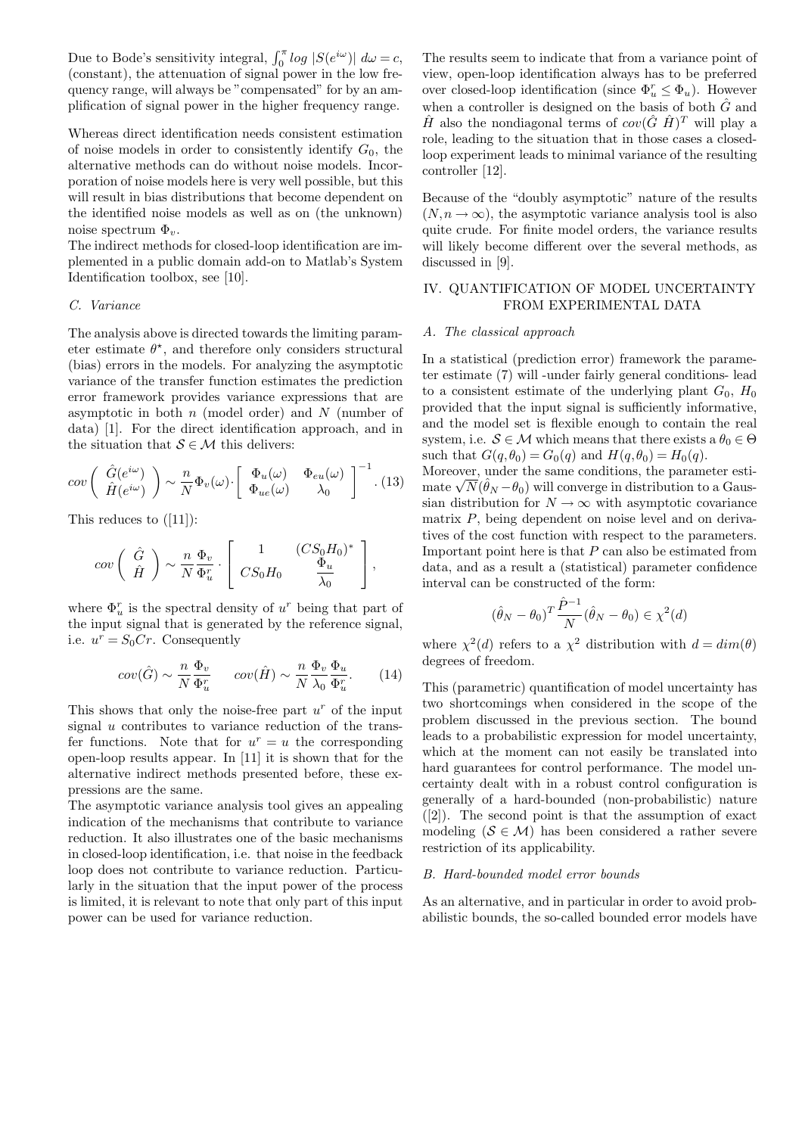Due to Bode's sensitivity integral,  $\int_0^{\pi} \log |S(e^{i\omega})| d\omega = c$ , (constant), the attenuation of signal power in the low frequency range, will always be "compensated" for by an amplification of signal power in the higher frequency range.

Whereas direct identification needs consistent estimation of noise models in order to consistently identify  $G_0$ , the alternative methods can do without noise models. Incorporation of noise models here is very well possible, but this will result in bias distributions that become dependent on the identified noise models as well as on (the unknown) noise spectrum  $\Phi_{v}$ .

The indirect methods for closed-loop identification are implemented in a public domain add-on to Matlab's System Identification toolbox, see [10].

## *C. Variance*

The analysis above is directed towards the limiting parameter estimate  $\theta^*$ , and therefore only considers structural (bias) errors in the models. For analyzing the asymptotic variance of the transfer function estimates the prediction error framework provides variance expressions that are asymptotic in both  $n \pmod{N}$  (number of data) [1]. For the direct identification approach, and in the situation that  $S \in \mathcal{M}$  this delivers:

$$
cov\left(\begin{array}{c}\hat{G}(e^{i\omega})\\ \hat{H}(e^{i\omega})\end{array}\right) \sim \frac{n}{N} \Phi_v(\omega) \cdot \left[\begin{array}{cc}\Phi_u(\omega) & \Phi_{eu}(\omega)\\ \Phi_{ue}(\omega) & \lambda_0\end{array}\right]^{-1}.\ (13)
$$

This reduces to ([11]):

$$
cov\left(\begin{array}{c}\hat{G} \\ \hat{H}\end{array}\right) \sim \frac{n}{N} \frac{\Phi_v}{\Phi_u^r} \cdot \left[\begin{array}{cc}1 & (CS_0H_0)^* \\ CS_0H_0 & \frac{\Phi_u}{\lambda_0}\end{array}\right],
$$

where  $\Phi_u^r$  is the spectral density of  $u^r$  being that part of the input signal that is generated by the reference signal, i.e.  $u^r = S_0Cr$ . Consequently

$$
cov(\hat{G}) \sim \frac{n}{N} \frac{\Phi_v}{\Phi_u^r} \qquad cov(\hat{H}) \sim \frac{n}{N} \frac{\Phi_v}{\lambda_0} \frac{\Phi_u}{\Phi_u^r}.
$$
 (14)

This shows that only the noise-free part  $u^r$  of the input signal  $u$  contributes to variance reduction of the transfer functions. Note that for  $u^r = u$  the corresponding open-loop results appear. In [11] it is shown that for the alternative indirect methods presented before, these expressions are the same.

The asymptotic variance analysis tool gives an appealing indication of the mechanisms that contribute to variance reduction. It also illustrates one of the basic mechanisms in closed-loop identification, i.e. that noise in the feedback loop does not contribute to variance reduction. Particularly in the situation that the input power of the process is limited, it is relevant to note that only part of this input power can be used for variance reduction.

The results seem to indicate that from a variance point of view, open-loop identification always has to be preferred over closed-loop identification (since  $\Phi_u^r \leq \Phi_u$ ). However when a controller is designed on the basis of both  $\hat{G}$  and  $\hat{H}$  also the nondiagonal terms of  $cov(\hat{G} \hat{H})^T$  will play a role, leading to the situation that in those cases a closedloop experiment leads to minimal variance of the resulting controller [12].

Because of the "doubly asymptotic" nature of the results  $(N, n \to \infty)$ , the asymptotic variance analysis tool is also quite crude. For finite model orders, the variance results will likely become different over the several methods, as discussed in [9].

# IV. QUANTIFICATION OF MODEL UNCERTAINTY FROM EXPERIMENTAL DATA

### *A. The classical approach*

In a statistical (prediction error) framework the parameter estimate (7) will -under fairly general conditions- lead to a consistent estimate of the underlying plant  $G_0$ ,  $H_0$ provided that the input signal is sufficiently informative, and the model set is flexible enough to contain the real system, i.e.  $S \in \mathcal{M}$  which means that there exists a  $\theta_0 \in \Theta$ such that  $G(q, \theta_0) = G_0(q)$  and  $H(q, \theta_0) = H_0(q)$ .

Moreover, under the same conditions, the parameter esti-Moreover, under the same conditions, the parameter esti-<br>mate  $\sqrt{N}(\hat{\theta}_N - \theta_0)$  will converge in distribution to a Gaussian distribution for  $N \to \infty$  with asymptotic covariance matrix  $P$ , being dependent on noise level and on derivatives of the cost function with respect to the parameters. Important point here is that  $P$  can also be estimated from data, and as a result a (statistical) parameter confidence interval can be constructed of the form:

$$
(\hat{\theta}_N - \theta_0)^T \frac{\hat{P}^{-1}}{N} (\hat{\theta}_N - \theta_0) \in \chi^2(d)
$$

where  $\chi^2(d)$  refers to a  $\chi^2$  distribution with  $d = dim(\theta)$ degrees of freedom.

This (parametric) quantification of model uncertainty has two shortcomings when considered in the scope of the problem discussed in the previous section. The bound leads to a probabilistic expression for model uncertainty, which at the moment can not easily be translated into hard guarantees for control performance. The model uncertainty dealt with in a robust control configuration is generally of a hard-bounded (non-probabilistic) nature ([2]). The second point is that the assumption of exact modeling ( $S \in \mathcal{M}$ ) has been considered a rather severe restriction of its applicability.

### *B. Hard-bounded model error bounds*

As an alternative, and in particular in order to avoid probabilistic bounds, the so-called bounded error models have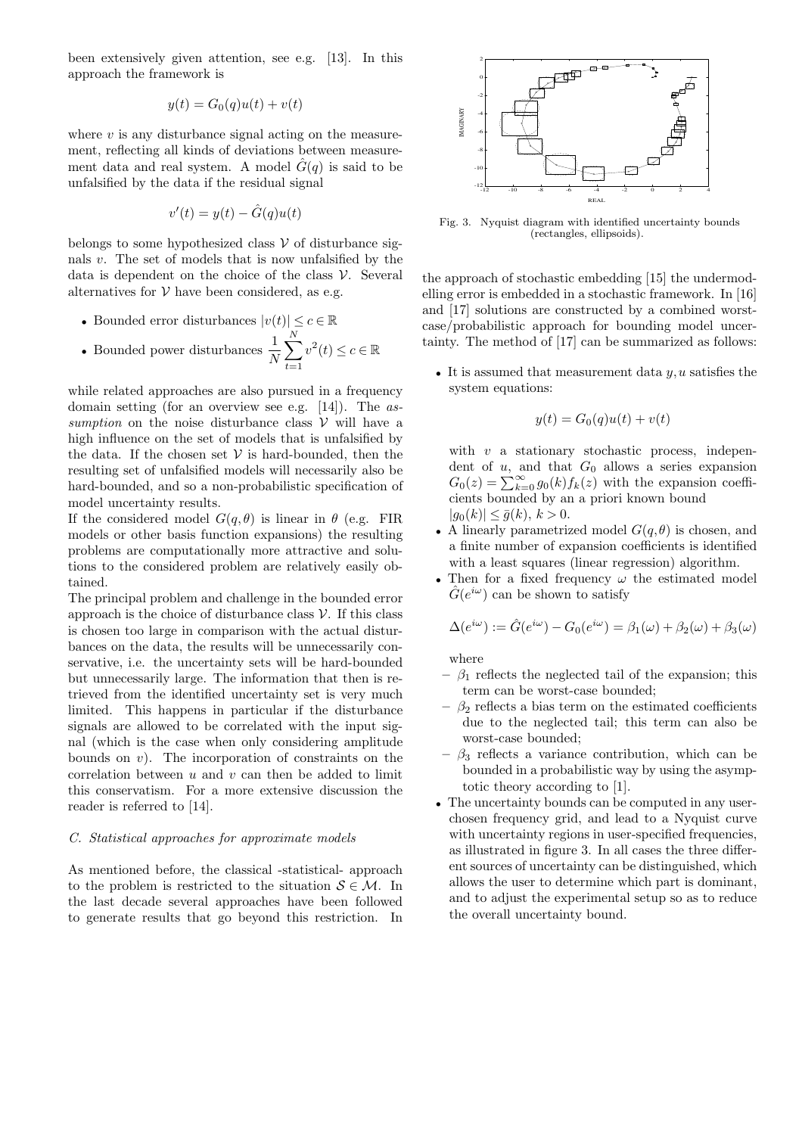been extensively given attention, see e.g. [13]. In this approach the framework is

$$
y(t) = G_0(q)u(t) + v(t)
$$

where  $v$  is any disturbance signal acting on the measurement, reflecting all kinds of deviations between measurement data and real system. A model  $\hat{G}(q)$  is said to be unfalsified by the data if the residual signal

$$
v'(t) = y(t) - \hat{G}(q)u(t)
$$

belongs to some hypothesized class  $V$  of disturbance signals v. The set of models that is now unfalsified by the data is dependent on the choice of the class  $\mathcal V$ . Several alternatives for  $V$  have been considered, as e.g.

- Bounded error disturbances  $|v(t)| \leq c \in \mathbb{R}$
- Bounded power disturbances  $\frac{1}{N}$  $\sum$ N  $t=1$  $v^2(t) \leq c \in \mathbb{R}$

while related approaches are also pursued in a frequency domain setting (for an overview see e.g. [14]). The *assumption* on the noise disturbance class  $V$  will have a high influence on the set of models that is unfalsified by the data. If the chosen set  $V$  is hard-bounded, then the resulting set of unfalsified models will necessarily also be hard-bounded, and so a non-probabilistic specification of model uncertainty results.

If the considered model  $G(q, \theta)$  is linear in  $\theta$  (e.g. FIR models or other basis function expansions) the resulting problems are computationally more attractive and solutions to the considered problem are relatively easily obtained.

The principal problem and challenge in the bounded error approach is the choice of disturbance class  $\mathcal V$ . If this class is chosen too large in comparison with the actual disturbances on the data, the results will be unnecessarily conservative, i.e. the uncertainty sets will be hard-bounded but unnecessarily large. The information that then is retrieved from the identified uncertainty set is very much limited. This happens in particular if the disturbance signals are allowed to be correlated with the input signal (which is the case when only considering amplitude bounds on  $v$ ). The incorporation of constraints on the correlation between  $u$  and  $v$  can then be added to limit this conservatism. For a more extensive discussion the reader is referred to [14].

## *C. Statistical approaches for approximate models*

As mentioned before, the classical -statistical- approach to the problem is restricted to the situation  $S \in \mathcal{M}$ . In the last decade several approaches have been followed to generate results that go beyond this restriction. In



Fig. 3. Nyquist diagram with identified uncertainty bounds (rectangles, ellipsoids).

the approach of stochastic embedding [15] the undermodelling error is embedded in a stochastic framework. In [16] and [17] solutions are constructed by a combined worstcase/probabilistic approach for bounding model uncertainty. The method of [17] can be summarized as follows:

• It is assumed that measurement data  $y, u$  satisfies the system equations:

$$
y(t) = G_0(q)u(t) + v(t)
$$

with  $v$  a stationary stochastic process, independent of  $u$ , and that  $G_0$  allows a series expansion  $G_0(z) = \sum_{k=0}^{\infty} g_0(k) f_k(z)$  with the expansion coefficients bounded by an a priori known bound  $|q_0(k)| \leq \bar{q}(k), k > 0.$ 

- A linearly parametrized model  $G(q, \theta)$  is chosen, and a finite number of expansion coefficients is identified with a least squares (linear regression) algorithm.
- Then for a fixed frequency  $\omega$  the estimated model  $\hat{G}(e^{i\omega})$  can be shown to satisfy

$$
\Delta(e^{i\omega}) := \hat{G}(e^{i\omega}) - G_0(e^{i\omega}) = \beta_1(\omega) + \beta_2(\omega) + \beta_3(\omega)
$$

where

- $\beta_1$  reflects the neglected tail of the expansion; this term can be worst-case bounded;
- $\beta_2$  reflects a bias term on the estimated coefficients due to the neglected tail; this term can also be worst-case bounded;
- $\beta_3$  reflects a variance contribution, which can be bounded in a probabilistic way by using the asymptotic theory according to [1].
- The uncertainty bounds can be computed in any userchosen frequency grid, and lead to a Nyquist curve with uncertainty regions in user-specified frequencies, as illustrated in figure 3. In all cases the three different sources of uncertainty can be distinguished, which allows the user to determine which part is dominant, and to adjust the experimental setup so as to reduce the overall uncertainty bound.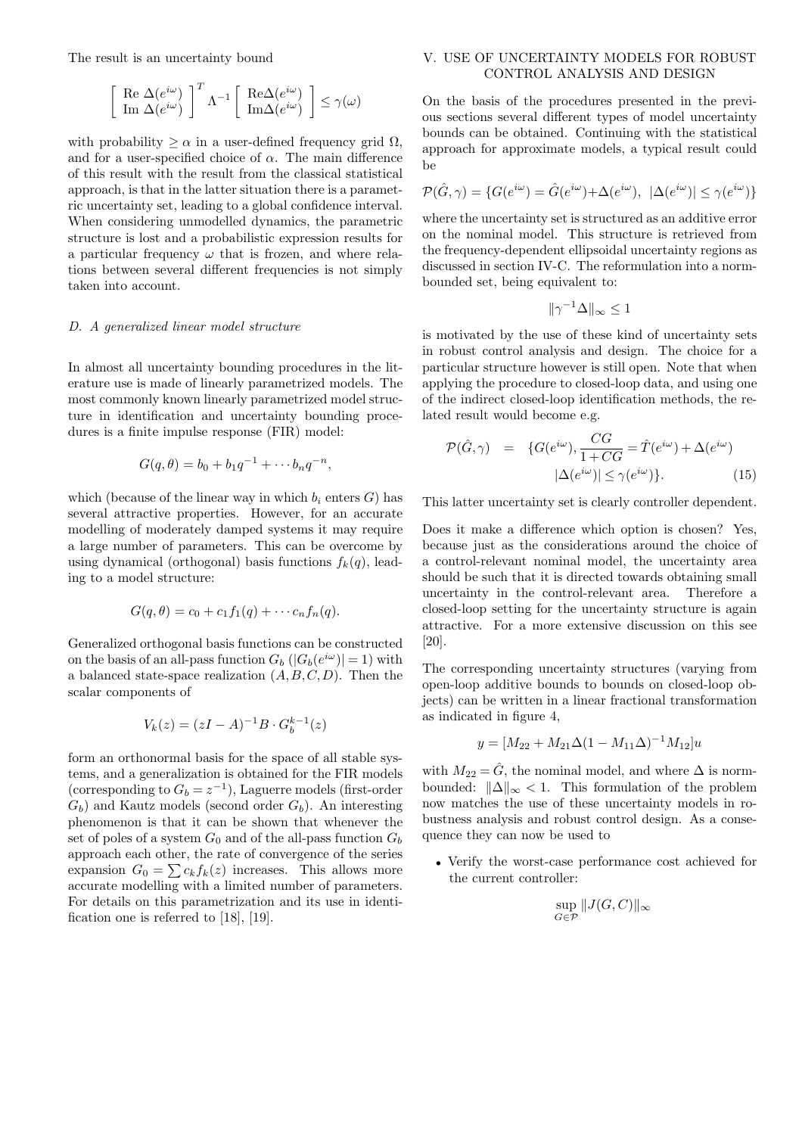The result is an uncertainty bound

$$
\begin{bmatrix}\n\text{Re }\Delta(e^{i\omega}) \\
\text{Im }\Delta(e^{i\omega})\n\end{bmatrix}^T \Lambda^{-1} \begin{bmatrix}\n\text{Re}\Delta(e^{i\omega}) \\
\text{Im}\Delta(e^{i\omega})\n\end{bmatrix} \le \gamma(\omega)
$$

with probability  $\geq \alpha$  in a user-defined frequency grid  $\Omega$ , and for a user-specified choice of  $\alpha$ . The main difference of this result with the result from the classical statistical approach, is that in the latter situation there is a parametric uncertainty set, leading to a global confidence interval. When considering unmodelled dynamics, the parametric structure is lost and a probabilistic expression results for a particular frequency  $\omega$  that is frozen, and where relations between several different frequencies is not simply taken into account.

#### *D. A generalized linear model structure*

In almost all uncertainty bounding procedures in the literature use is made of linearly parametrized models. The most commonly known linearly parametrized model structure in identification and uncertainty bounding procedures is a finite impulse response (FIR) model:

$$
G(q, \theta) = b_0 + b_1 q^{-1} + \cdots + b_n q^{-n},
$$

which (because of the linear way in which  $b_i$  enters  $G$ ) has several attractive properties. However, for an accurate modelling of moderately damped systems it may require a large number of parameters. This can be overcome by using dynamical (orthogonal) basis functions  $f_k(q)$ , leading to a model structure:

$$
G(q, \theta) = c_0 + c_1 f_1(q) + \cdots c_n f_n(q).
$$

Generalized orthogonal basis functions can be constructed on the basis of an all-pass function  $G_b$   $(|G_b(e^{i\omega})| = 1)$  with a balanced state-space realization  $(A, B, C, D)$ . Then the scalar components of

$$
V_k(z) = (zI - A)^{-1}B \cdot G_b^{k-1}(z)
$$

form an orthonormal basis for the space of all stable systems, and a generalization is obtained for the FIR models (corresponding to  $G_b = z^{-1}$ ), Laguerre models (first-order  $G_b$ ) and Kautz models (second order  $G_b$ ). An interesting phenomenon is that it can be shown that whenever the set of poles of a system  $G_0$  and of the all-pass function  $G_b$ approach each other, the rate of convergence of the series expansion  $G_0 = \sum c_k f_k(z)$  increases. This allows more accurate modelling with a limited number of parameters. For details on this parametrization and its use in identification one is referred to [18], [19].

# V. USE OF UNCERTAINTY MODELS FOR ROBUST CONTROL ANALYSIS AND DESIGN

On the basis of the procedures presented in the previous sections several different types of model uncertainty bounds can be obtained. Continuing with the statistical approach for approximate models, a typical result could be

$$
\mathcal{P}(\hat{G}, \gamma) = \{ G(e^{i\omega}) = \hat{G}(e^{i\omega}) + \Delta(e^{i\omega}), \ |\Delta(e^{i\omega})| \le \gamma(e^{i\omega}) \}
$$

where the uncertainty set is structured as an additive error on the nominal model. This structure is retrieved from the frequency-dependent ellipsoidal uncertainty regions as discussed in section IV-C. The reformulation into a normbounded set, being equivalent to:

$$
\|\gamma^{-1}\Delta\|_{\infty}\leq 1
$$

is motivated by the use of these kind of uncertainty sets in robust control analysis and design. The choice for a particular structure however is still open. Note that when applying the procedure to closed-loop data, and using one of the indirect closed-loop identification methods, the related result would become e.g.

$$
\mathcal{P}(\hat{G}, \gamma) = \{ G(e^{i\omega}), \frac{CG}{1+CG} = \hat{T}(e^{i\omega}) + \Delta(e^{i\omega})
$$

$$
|\Delta(e^{i\omega})| \le \gamma(e^{i\omega}) \}. \tag{15}
$$

This latter uncertainty set is clearly controller dependent.

Does it make a difference which option is chosen? Yes, because just as the considerations around the choice of a control-relevant nominal model, the uncertainty area should be such that it is directed towards obtaining small uncertainty in the control-relevant area. Therefore a closed-loop setting for the uncertainty structure is again attractive. For a more extensive discussion on this see [20].

The corresponding uncertainty structures (varying from open-loop additive bounds to bounds on closed-loop objects) can be written in a linear fractional transformation as indicated in figure 4,

$$
y = [M_{22} + M_{21}\Delta(1 - M_{11}\Delta)^{-1}M_{12}]u
$$

with  $M_{22} = \hat{G}$ , the nominal model, and where  $\Delta$  is normbounded:  $\|\Delta\|_{\infty} < 1$ . This formulation of the problem now matches the use of these uncertainty models in robustness analysis and robust control design. As a consequence they can now be used to

• Verify the worst-case performance cost achieved for the current controller:

$$
\sup_{G\in\mathcal{P}}\|J(G,C)\|_\infty
$$